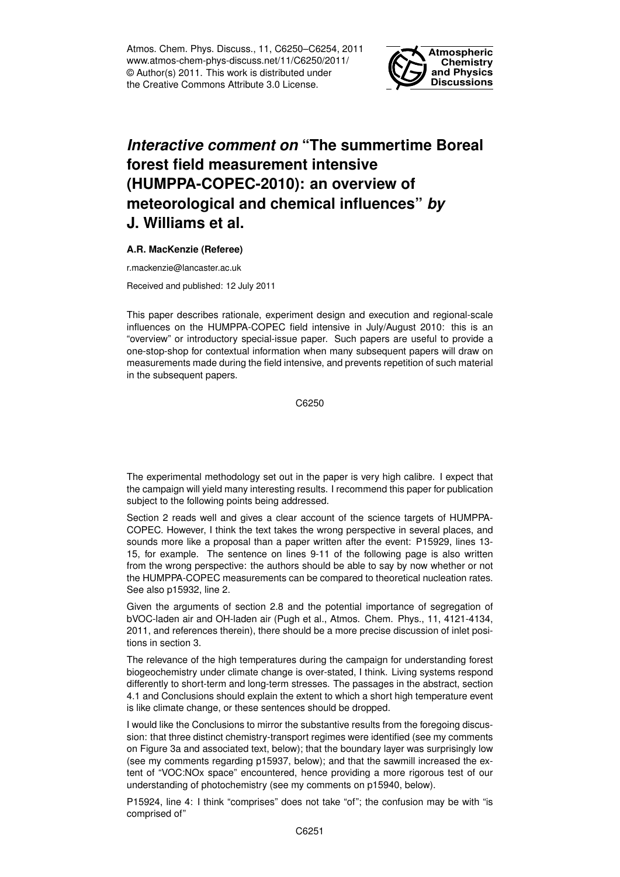Atmos. Chem. Phys. Discuss., 11, C6250–C6254, 2011 www.atmos-chem-phys-discuss.net/11/C6250/2011/ © Author(s) 2011. This work is distributed under the Creative Commons Attribute 3.0 License.



## *Interactive comment on* **"The summertime Boreal forest field measurement intensive (HUMPPA-COPEC-2010): an overview of meteorological and chemical influences"** *by* **J. Williams et al.**

## **A.R. MacKenzie (Referee)**

r.mackenzie@lancaster.ac.uk

Received and published: 12 July 2011

This paper describes rationale, experiment design and execution and regional-scale influences on the HUMPPA-COPEC field intensive in July/August 2010: this is an "overview" or introductory special-issue paper. Such papers are useful to provide a one-stop-shop for contextual information when many subsequent papers will draw on measurements made during the field intensive, and prevents repetition of such material in the subsequent papers.

C6250

The experimental methodology set out in the paper is very high calibre. I expect that the campaign will yield many interesting results. I recommend this paper for publication subject to the following points being addressed.

Section 2 reads well and gives a clear account of the science targets of HUMPPA-COPEC. However, I think the text takes the wrong perspective in several places, and sounds more like a proposal than a paper written after the event: P15929, lines 13- 15, for example. The sentence on lines 9-11 of the following page is also written from the wrong perspective: the authors should be able to say by now whether or not the HUMPPA-COPEC measurements can be compared to theoretical nucleation rates. See also p15932, line 2.

Given the arguments of section 2.8 and the potential importance of segregation of bVOC-laden air and OH-laden air (Pugh et al., Atmos. Chem. Phys., 11, 4121-4134, 2011, and references therein), there should be a more precise discussion of inlet positions in section 3.

The relevance of the high temperatures during the campaign for understanding forest biogeochemistry under climate change is over-stated, I think. Living systems respond differently to short-term and long-term stresses. The passages in the abstract, section 4.1 and Conclusions should explain the extent to which a short high temperature event is like climate change, or these sentences should be dropped.

I would like the Conclusions to mirror the substantive results from the foregoing discussion: that three distinct chemistry-transport regimes were identified (see my comments on Figure 3a and associated text, below); that the boundary layer was surprisingly low (see my comments regarding p15937, below); and that the sawmill increased the extent of "VOC:NOx space" encountered, hence providing a more rigorous test of our understanding of photochemistry (see my comments on p15940, below).

P15924, line 4: I think "comprises" does not take "of"; the confusion may be with "is comprised of"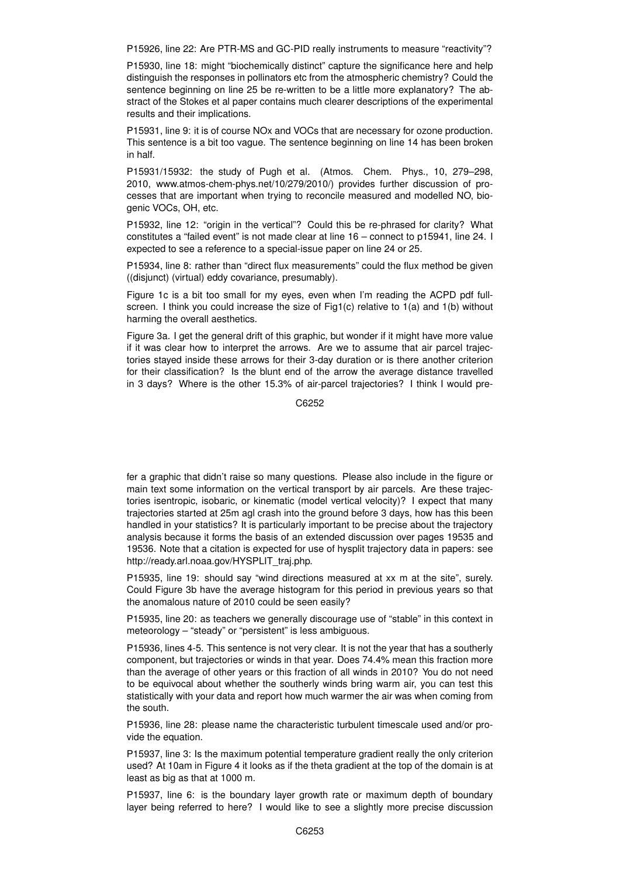P15926, line 22: Are PTR-MS and GC-PID really instruments to measure "reactivity"?

P15930, line 18: might "biochemically distinct" capture the significance here and help distinguish the responses in pollinators etc from the atmospheric chemistry? Could the sentence beginning on line 25 be re-written to be a little more explanatory? The abstract of the Stokes et al paper contains much clearer descriptions of the experimental results and their implications.

P15931, line 9: it is of course NOx and VOCs that are necessary for ozone production. This sentence is a bit too vague. The sentence beginning on line 14 has been broken in half.

P15931/15932: the study of Pugh et al. (Atmos. Chem. Phys., 10, 279–298, 2010, www.atmos-chem-phys.net/10/279/2010/) provides further discussion of processes that are important when trying to reconcile measured and modelled NO, biogenic VOCs, OH, etc.

P15932, line 12: "origin in the vertical"? Could this be re-phrased for clarity? What constitutes a "failed event" is not made clear at line 16 – connect to p15941, line 24. I expected to see a reference to a special-issue paper on line 24 or 25.

P15934, line 8: rather than "direct flux measurements" could the flux method be given ((disjunct) (virtual) eddy covariance, presumably).

Figure 1c is a bit too small for my eyes, even when I'm reading the ACPD pdf fullscreen. I think you could increase the size of Fig1(c) relative to 1(a) and 1(b) without harming the overall aesthetics.

Figure 3a. I get the general drift of this graphic, but wonder if it might have more value if it was clear how to interpret the arrows. Are we to assume that air parcel trajectories stayed inside these arrows for their 3-day duration or is there another criterion for their classification? Is the blunt end of the arrow the average distance travelled in 3 days? Where is the other 15.3% of air-parcel trajectories? I think I would pre-

C6252

fer a graphic that didn't raise so many questions. Please also include in the figure or main text some information on the vertical transport by air parcels. Are these trajectories isentropic, isobaric, or kinematic (model vertical velocity)? I expect that many trajectories started at 25m agl crash into the ground before 3 days, how has this been handled in your statistics? It is particularly important to be precise about the trajectory analysis because it forms the basis of an extended discussion over pages 19535 and 19536. Note that a citation is expected for use of hysplit trajectory data in papers: see http://ready.arl.noaa.gov/HYSPLIT\_traj.php.

P15935, line 19: should say "wind directions measured at xx m at the site", surely. Could Figure 3b have the average histogram for this period in previous years so that the anomalous nature of 2010 could be seen easily?

P15935, line 20: as teachers we generally discourage use of "stable" in this context in meteorology – "steady" or "persistent" is less ambiguous.

P15936, lines 4-5. This sentence is not very clear. It is not the year that has a southerly component, but trajectories or winds in that year. Does 74.4% mean this fraction more than the average of other years or this fraction of all winds in 2010? You do not need to be equivocal about whether the southerly winds bring warm air, you can test this statistically with your data and report how much warmer the air was when coming from the south.

P15936, line 28: please name the characteristic turbulent timescale used and/or provide the equation.

P15937, line 3: Is the maximum potential temperature gradient really the only criterion used? At 10am in Figure 4 it looks as if the theta gradient at the top of the domain is at least as big as that at 1000 m.

P15937, line 6: is the boundary layer growth rate or maximum depth of boundary layer being referred to here? I would like to see a slightly more precise discussion